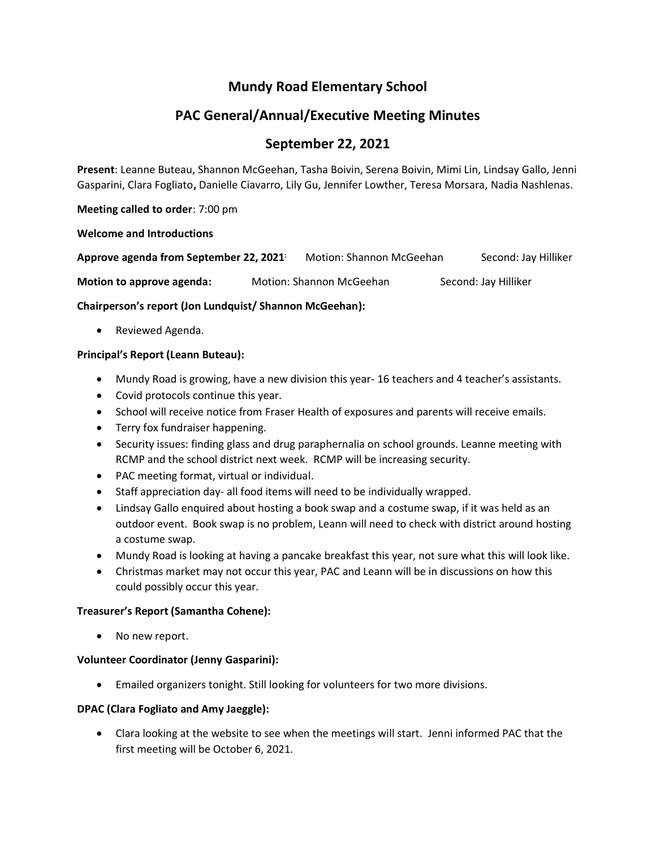## **Mundy Road Elementary School**

# **PAC General/Annual/Executive Meeting Minutes**

## **September 22, 2021**

**Present**: Leanne Buteau, Shannon McGeehan, Tasha Boivin, Serena Boivin, Mimi Lin, Lindsay Gallo, Jenni Gasparini, Clara Fogliato**,** Danielle Ciavarro, Lily Gu, Jennifer Lowther, Teresa Morsara, Nadia Nashlenas.

**Meeting called to order**: 7:00 pm

## **Welcome and Introductions**

| Approve agenda from September 22, 2021 | Motion: Shannon McGeehan | Second: Jay Hilliker |
|----------------------------------------|--------------------------|----------------------|
| Motion to approve agenda:              | Motion: Shannon McGeehan | Second: Jay Hilliker |

## **Chairperson's report (Jon Lundquist/ Shannon McGeehan):**

• Reviewed Agenda.

## **Principal's Report (Leann Buteau):**

- Mundy Road is growing, have a new division this year- 16 teachers and 4 teacher's assistants.
- Covid protocols continue this year.
- School will receive notice from Fraser Health of exposures and parents will receive emails.
- Terry fox fundraiser happening.
- Security issues: finding glass and drug paraphernalia on school grounds. Leanne meeting with RCMP and the school district next week. RCMP will be increasing security.
- PAC meeting format, virtual or individual.
- Staff appreciation day- all food items will need to be individually wrapped.
- Lindsay Gallo enquired about hosting a book swap and a costume swap, if it was held as an outdoor event. Book swap is no problem, Leann will need to check with district around hosting a costume swap.
- Mundy Road is looking at having a pancake breakfast this year, not sure what this will look like.
- Christmas market may not occur this year, PAC and Leann will be in discussions on how this could possibly occur this year.

## **Treasurer's Report (Samantha Cohene):**

• No new report.

## **Volunteer Coordinator (Jenny Gasparini):**

• Emailed organizers tonight. Still looking for volunteers for two more divisions.

## **DPAC (Clara Fogliato and Amy Jaeggle):**

• Clara looking at the website to see when the meetings will start. Jenni informed PAC that the first meeting will be October 6, 2021.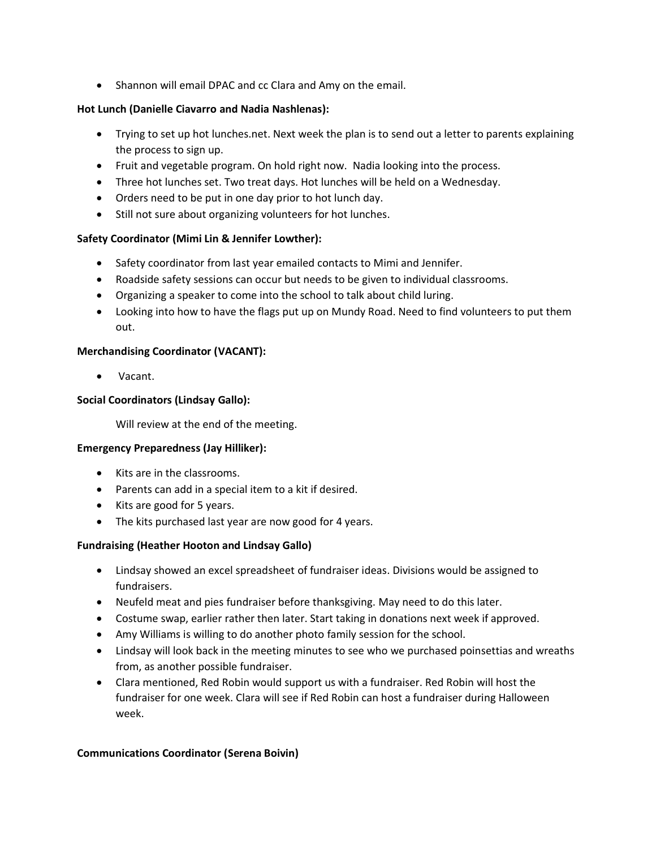• Shannon will email DPAC and cc Clara and Amy on the email.

## **Hot Lunch (Danielle Ciavarro and Nadia Nashlenas):**

- Trying to set up hot lunches.net. Next week the plan is to send out a letter to parents explaining the process to sign up.
- Fruit and vegetable program. On hold right now. Nadia looking into the process.
- Three hot lunches set. Two treat days. Hot lunches will be held on a Wednesday.
- Orders need to be put in one day prior to hot lunch day.
- Still not sure about organizing volunteers for hot lunches.

## **Safety Coordinator (Mimi Lin & Jennifer Lowther):**

- Safety coordinator from last year emailed contacts to Mimi and Jennifer.
- Roadside safety sessions can occur but needs to be given to individual classrooms.
- Organizing a speaker to come into the school to talk about child luring.
- Looking into how to have the flags put up on Mundy Road. Need to find volunteers to put them out.

## **Merchandising Coordinator (VACANT):**

• Vacant.

## **Social Coordinators (Lindsay Gallo):**

Will review at the end of the meeting.

## **Emergency Preparedness (Jay Hilliker):**

- Kits are in the classrooms.
- Parents can add in a special item to a kit if desired.
- Kits are good for 5 years.
- The kits purchased last year are now good for 4 years.

## **Fundraising (Heather Hooton and Lindsay Gallo)**

- Lindsay showed an excel spreadsheet of fundraiser ideas. Divisions would be assigned to fundraisers.
- Neufeld meat and pies fundraiser before thanksgiving. May need to do this later.
- Costume swap, earlier rather then later. Start taking in donations next week if approved.
- Amy Williams is willing to do another photo family session for the school.
- Lindsay will look back in the meeting minutes to see who we purchased poinsettias and wreaths from, as another possible fundraiser.
- Clara mentioned, Red Robin would support us with a fundraiser. Red Robin will host the fundraiser for one week. Clara will see if Red Robin can host a fundraiser during Halloween week.

## **Communications Coordinator (Serena Boivin)**